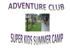# ADVENTURE CLUB



# SUPER KIDS SUIMMER CAMP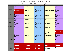### **FOOTHILLS ADVENTURE CLUB SUMMER 2020 CALENDAR**

**Kim Lands, Director 865-983-8637 kim.lands@maryville-schools.org**

| Week                               | Monday                                                 | Tuesday                                        | Wednesday                                                    | Thursday                                                                                     | Friday                                                                                         |
|------------------------------------|--------------------------------------------------------|------------------------------------------------|--------------------------------------------------------------|----------------------------------------------------------------------------------------------|------------------------------------------------------------------------------------------------|
| May 18 - 22<br>$\mathbf{1}$        | $\overline{18}$<br><b>Kid's Choice</b>                 | 19<br><b>Arts &amp; Crafts</b><br><b>Movie</b> | $\overline{20}$<br><b>Virtual Field Trip</b>                 | 21<br><b>Creative Campers Day</b>                                                            | $\overline{22}$<br><b>Kid's Choice</b><br><b>Movie</b>                                         |
| May 25-28<br>$\overline{2}$        | 25<br><b>CLOSED</b>                                    | 26<br><b>Arts &amp; Crafts</b>                 | $\overline{27}$<br><b>Virtual Field Trip</b><br><b>Movie</b> | 28<br><b>Minute To Win It Games</b>                                                          | $\overline{29}$<br><b>Kid's Choice</b><br><b>Movie</b>                                         |
| <b>June 1-5</b><br>$\mathbf{3}$    | 1.<br><b>Kid's Choice</b><br><b>Movie</b>              | $\mathbf{2}$<br><b>Arts &amp; Crafts</b>       | 3<br><b>Virtual Field Trip</b><br><b>Movie</b>               | 4<br><b>Field Day</b>                                                                        | 5<br><b>Kid's Choice</b><br><b>Movie</b>                                                       |
| <b>June 8-12</b><br>$\overline{4}$ | 8<br><b>Kid's Choice</b><br><b>Movie</b>               | 9<br><b>Arts &amp; Crafts</b>                  | 10<br><b>Virtual Field Trip</b><br><b>Movie</b>              | 11<br><b>Survivor Games</b>                                                                  | $\mathbf{2}$<br><b>Kid's Choice</b><br><b>Movie</b>                                            |
| <b>June 15-19</b><br>5             | 15<br><b>Kid's Choice</b><br><b>Movie</b>              | 16<br><b>Arts &amp; Crafts</b>                 | 17<br><b>Virtual Field Trip</b><br><b>Movie</b>              | 18<br><b>Games Show Games</b>                                                                | 19<br><b>Kid's Choice</b><br><b>Movie</b>                                                      |
| June 22-26<br>$6\overline{6}$      | 22 <sub>2</sub><br><b>Kid's Choice</b><br><b>Movie</b> | 23<br><b>Arts &amp; Crafts</b>                 | 24<br><b>Virtual Field Trip</b><br><b>Movie</b>              | 25<br><b>Amazing Race</b>                                                                    | $\overline{26}$<br><b>Kid's Choice</b><br><b>Movie</b>                                         |
| June 29-July 3<br>$\overline{7}$   | 29<br><b>Kid's Choice</b><br><b>Movie</b>              | 30<br><b>Arts &amp; Crafts</b>                 | 1<br><b>Virtual Field Trip</b><br><b>Movie</b>               | 2 <sup>2</sup><br>Independence<br><b>Celebration</b><br><b>Lunch: \$5.00</b><br><b>Movie</b> | 3<br><b>CLOSED</b>                                                                             |
| <b>July 6-10</b><br>8              | 6<br><b>Kid's Choice</b><br><b>Movie</b>               | <b>Arts &amp; Crafts</b>                       | 8<br><b>Virtual Field Trip</b><br><b>Movie</b>               | 9<br><b>Silly Camp Games</b>                                                                 | 10<br><b>Kid's Choice</b><br><b>Movie</b>                                                      |
| <b>July 13-17</b><br>9             | 13<br><b>Kid's Choice</b><br><b>Movie</b>              | 14<br><b>Arts &amp; Crafts</b>                 | 15<br><b>Virtual Field Trip</b><br><b>Movie</b>              | 16<br><b>CAMP Day</b>                                                                        | 17<br><b>Kid's Choice</b><br><b>Pizza Party &amp;</b><br><b>Snow Cones \$8</b><br><b>Movie</b> |
| <b>July 20-24</b>                  | 20                                                     | 21                                             | 22                                                           | 23                                                                                           | 24                                                                                             |
| 10                                 | <b>CLOSED</b>                                          | <b>CLOSED</b>                                  | <b>CLOSED</b>                                                | <b>CLOSED</b>                                                                                | <b>CLOSED</b>                                                                                  |
| <b>July 27-</b><br>August 1<br>11  | 27<br><b>CLOSED</b>                                    | 28<br><b>CLOSED</b>                            | 29<br><b>CLOSED</b>                                          | 30<br><b>School Begins</b>                                                                   | 1                                                                                              |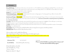### I nformation

Drop Off/Pick Up - The Adventure Club entrance is located at the rear of Foothills Elementary (not Montgomery Ridge). Please come to the doors and ring the doorbell. Someone will be at the back door to take temperatures and we will sign children in/out. All children must be walked to door daily. Children should be dressed appropriately for outdoor and gym play.

Arrival -We are asking that all children arrive by 8:00am daily.

Summer Reading Program – <mark>If it is available,</mark> we will participate in the summer reading program on Tuesdays again this year. More inf ormation will be coming home from the library as summer approaches.

Summer Lunch Program – <mark>If it is available,</mark> we will participate in the summer lunch program again this year. There is no cost to anyone and everyone under the age of 18 is eligible. All children will need to bring a sack lunch until further notice. Adventure Club should be contacted by 8:00am if any child will not b e in attendance at lunch time.

Calendars - All families will be provided with a calendar with all of the days that you have signed up for highlighted. These will be given out in the days leading up to summer or on your f irst day attending. Summer totals will be documented on calendars as well.

T-Shirts - All children will be provided a summert-shirt. Remember these t-shirts must be worn on all field trip days with the exception of swimming trips. Field Trip - Currently Suspended.

Personal Items-No personal toys. Each child should have their own bag. Electronic games and tablets permitted.

Snacks/Lunch –Bring a sack lunch daily. Snacks provided.

Open to children in the Foothills School District.

Upcoming kindergarten sibling turning 5 before May thr18th through 3rd grade.

ALL 3<sup>rd</sup> grade children should register with their elementary school's Adventure Club for summer camp.

DHS Certificates Accepted

Adventure Club 865-983-8637

7:00-6:00

Email Address kim.lands@maryville-schools.org

\*Please note that if all children are picked up before 6:00 pm; we will close when the last child has left the program.\*

Daily & Weekly Rates Available Open Daily Monday – Friday 7:00 am – 6:00 pm  $\mathsf{Reg}$ istration $\mathsf{April}$  20<sup>th</sup> –  $\mathsf{May}\, \mathcal{S}^{\mathsf{th}}.$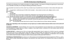The health and well-being of our families and staff are our highest priorities. In the interest of limiting the opportunity for transmission to our vulnerable community, we are taking the following precautionary measures:

Your household must remain out of the center if any member of your household has (or has been in close contact with anyone who has):

(a) A suspected or confirmed case of COVID-19 (for example – close contact at school, work, religious service, social gathering); **or**

- (b) Traveled:
	- internationally;
	- domestically, from an area which is experiencing widespread community transmission of COVID-19 or
	- from any area which is the subject of similar travel restrictions under applicable state and local guidance.

14 days after the last potential exposure, your household may return **provided these three things have happened:**

- (a) At least 14 days have passed since any household member first experienced symptoms; **and**
- (b) Symptoms have improved for any household member that experienced symptoms (for example, cough or shortness of breath has improved); **and**
- (c) The household has been fever-free for at least 72 hours without the use of fever-reducing medicines.

### *Please note, depending on the circumstances we may require you to obtain medical clearance before return to the center will be allowed.*

**HOUSEHOLD MEMBERS:** include individuals who may not live in the household but may be staying there or are otherwise present in the household on a regular basis (e.g. nannies, caregivers, home health workers, contractors, etc.) and includes anyone with pick up or drop off privileges at the center.

**CLOSE CONTACT:** is defined by the CDC as (1) being within approximately 6 feet (2 meters) of a COVID-19 case for a prolonged period of time and can occur while caring for, living with, visiting, or sharing a health care waiting area or room with a COVID-19 case, or (2) having direct contact with infectious secretions of a COVID-19 case (e.g., being coughed on). Considerations when assessing close contact include the duration of exposure and the clinical symptoms of the person with COVID-19.

**FOR MEDICAL PROFESSIONALS:** If contact occurs while wearing recommended personal protective equipment or PPE (e.g., gowns, gloves, NIOSH-certified disposable N95 respirator, eye protection), that contact will NOT be considered close contact for purposes of this policy.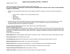## **Health Check and Illness Policy - COVID 19**

Updated April 20<sup>th</sup>, 2020

Applies to staff, children and their household members, which states in part:

### **ALL STAFF, FAMILIES, CHILDREN AND THEIR HOUSEHOLD MEMBERS MUST CONDUCT A DAILY HEALTH CHECK BEFORE COMING TO THE CENTER.**

- Should you or any household member have any of the following symptoms, we ask you to remain out that day and notify the center.
	- $\circ$  Fever of 100.4 F or higher, now or in the preceding 72 hours
	- o Cough
	- o Sore Throat
	- o Muscle Aches
	- o Difficulty Breathing
- Exclusion from the center is sometimes necessary to reduce the transmission of illness. For your child's comfort, and to reduce the risk of contagion, we ask that children be picked up within 1.0 hour of notification. Until then, your child will be kept comfortable and will continue to be observed for symptoms.

For a full copy of the Health Check and Illness Policy, please ask the center leadership team.

### **Summary of Enhanced Protocols**

We are continually updating our processes and protocols in accordance with the most recent Centers for Disease Control and Prevention (CDC) guidance and the guidance of our medical expert. We are encouraging our centers to maintain small group sizes and practice social distancing to the best of our ability, given the ever-changing circumstances and variation in guidance across states and localities.

At your center, you may notice:

**Daily Health Check** for Staff and families required *before* coming to the center. This will be done at sign in and throughout each day.

**Nonessential visitors** are not allowed into the center.

**Drop-offs/pick-ups** taking place in the lobby areas or outside, Adventure Club personnel will sign children in and out.

**Hygiene/handwashing** emphasized daily in the center and the classrooms.

**Reduced class sizes,** as determined by local guidance, in consistent groupings with consistent staffing as possible.

**Social distancing being practiced** as much as possible, including at meal times and arts and crafts.

**Frequent cleaning and disinfecting** of high touch surfaces, and toys.

**Outdoor time limited** to one group at a time, with back-to-back use of the play area limited.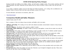# **COVID 19 Re-Opening Policy Changes**

Ensuring the health and wellbeing of our children, families, and staff remains our highest priority. We're actively partnering with local health departments and closely monitoring the latest updates from the Centers for Disease Control to follow their most up-to-date guidance.

As we continue to implement guidance from the CDC during the COVID-19 pandemic, we're working with our administration and healthcare leaders to stay up to date on the latest safety precautions advised for our centers.

For more information and resources on coronavirus, please visit:

<https://www.cdc.gov/>

# **Coronavirus Health and Safety Measures**

Updated Tuesday April 20th, 2020

Here's a summary of what we're doing to keep our teachers and families safe in our centers:

- **Additional staff training.** We're training all of our staff on the enhanced precautions and preventative measures to keep everyone safe and healthy.
- Protective equipment. All staff have masks and gloves available if needed.
- **Handwashing, regular disinfecting.** We continue to follow the most up-to-date guidance to ensure that our centers are as safe and clean as possible.
- **Social distancing.** We'll continue to practice social distancing as much as possible to reduce risk. To minimize potential exposure, children will continue to keep distance from children and staff in other classrooms.
- **Stay home if sick.** If your child has had a fever or is sick, we ask that they stay home until they've been symptom-free without medication for at least 72 hours. If you choose to keep your child at home, just call your center and let us know.
- Enhanced health screenings. You'll be asked a few quick questions before you drop your child off. Staff and children will have their temperature checked before coming into the center.
- **Drop-off and pick-up protocols**. Families are asked to drop off and pick up at our exterior door (the rear entrance of the school). A staff member will take each child's temperature and sign the child in or out.
- **Temperature checks.** Staff members will continue to perform temperature checks on children at drop-off, pick up, and when needed during the day. They will use no-touch infrared the thermometers whenever possible and wear additional protective equipment if needed. Parents will be contacted during the day if their child has a fever.
- **Drop-off schedules.** We are asking that all children arrive by 8:00am daily.
- **Response protocols in place.** We're collaborating with local officials to make sure we have procedures ready to put in place as the situation evolves.
- **Personal items.** Please refrain from sending toys to the center. Electronics may be brought for designated play times. Please send a bag with your child daily to keep all belongings together.